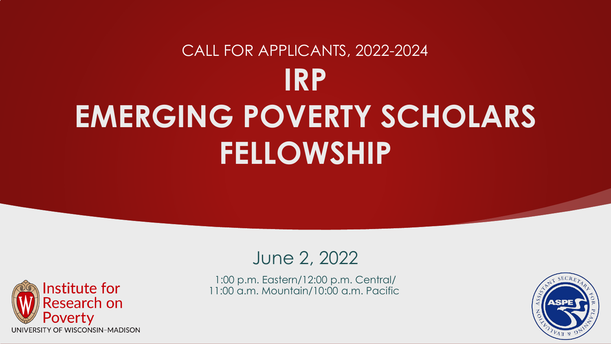## **IRP EMERGING POVERTY SCHOLARS FELLOWSHIP** CALL FOR APPLICANTS, 2022-2024



1:00 p.m. Eastern/12:00 p.m. Central/ 11:00 a.m. Mountain/10:00 a.m. Pacific



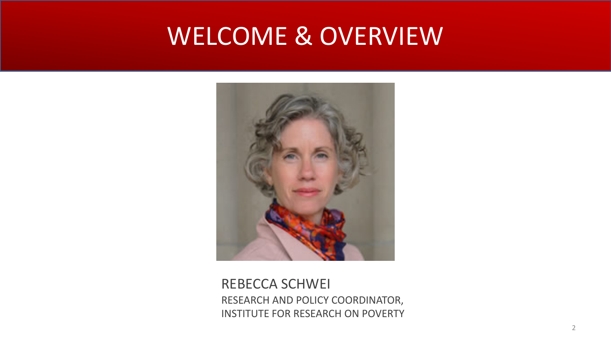## WELCOME & OVERVIEW



REBECCA SCHWEI RESEARCH AND POLICY COORDINATOR, INSTITUTE FOR RESEARCH ON POVERTY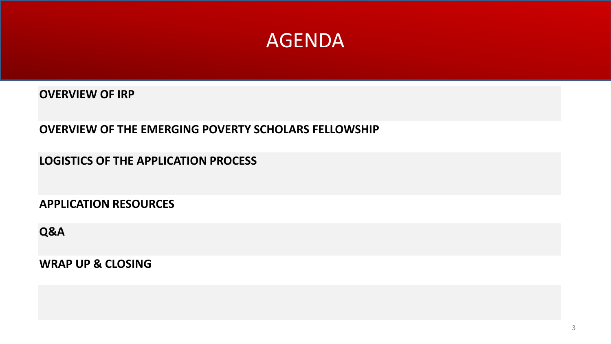

**OVERVIEW OF IRP**

**OVERVIEW OF THE EMERGING POVERTY SCHOLARS FELLOWSHIP**

**LOGISTICS OF THE APPLICATION PROCESS**

**APPLICATION RESOURCES**

**Q&A** 

**WRAP UP & CLOSING**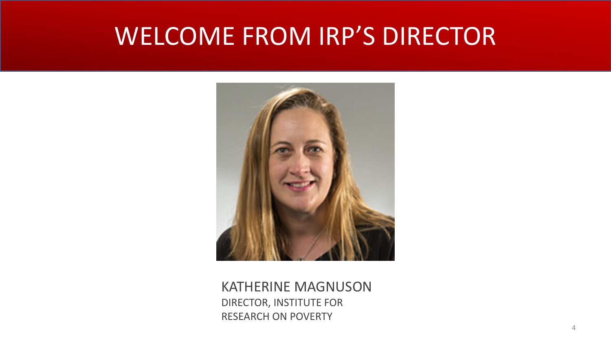## WELCOME FROM IRP'S DIRECTOR



KATHERINE MAGNUSON DIRECTOR, INSTITUTE FOR RESEARCH ON POVERTY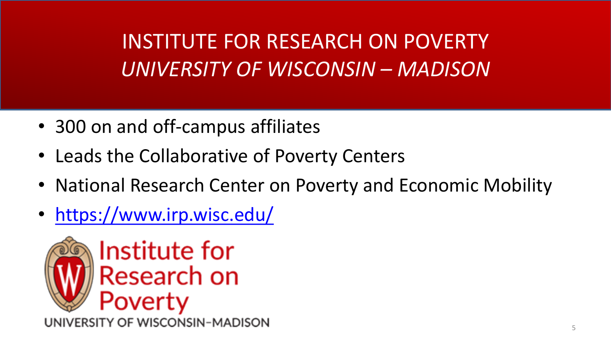INSTITUTE FOR RESEARCH ON POVERTY *UNIVERSITY OF WISCONSIN – MADISON*

- 300 on and off-campus affiliates
- Leads the Collaborative of Poverty Centers
- National Research Center on Poverty and Economic Mobility
- <https://www.irp.wisc.edu/>

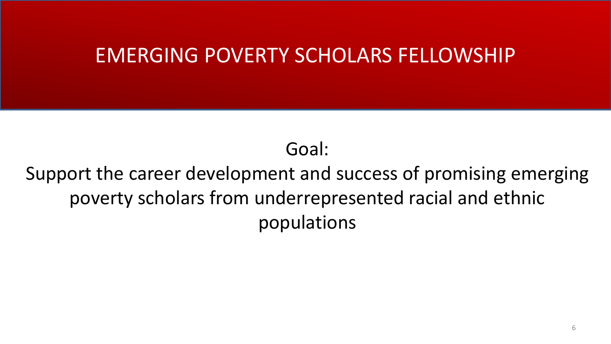#### EMERGING POVERTY SCHOLARS FELLOWSHIP

Goal:

Support the career development and success of promising emerging poverty scholars from underrepresented racial and ethnic populations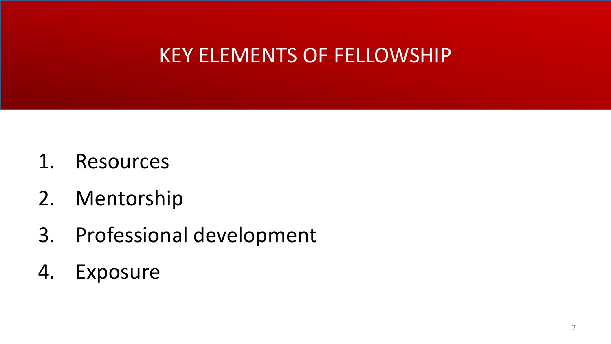#### KEY ELEMENTS OF FELLOWSHIP

- 1. Resources
- 2. Mentorship
- 3. Professional development
- 4. Exposure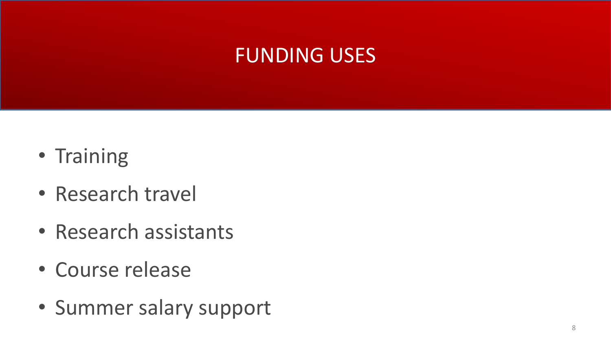#### FUNDING USES

- Training
- Research travel
- Research assistants
- Course release
- Summer salary support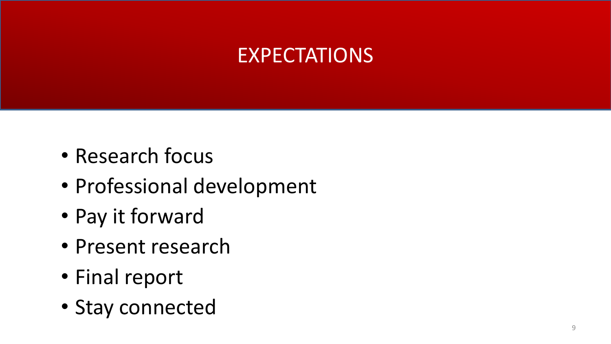### EXPECTATIONS

- Research focus
- Professional development
- Pay it forward
- Present research
- Final report
- Stay connected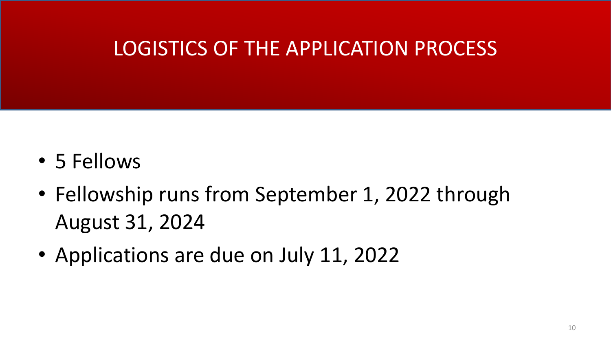### LOGISTICS OF THE APPLICATION PROCESS

- 5 Fellows
- Fellowship runs from September 1, 2022 through August 31, 2024
- Applications are due on July 11, 2022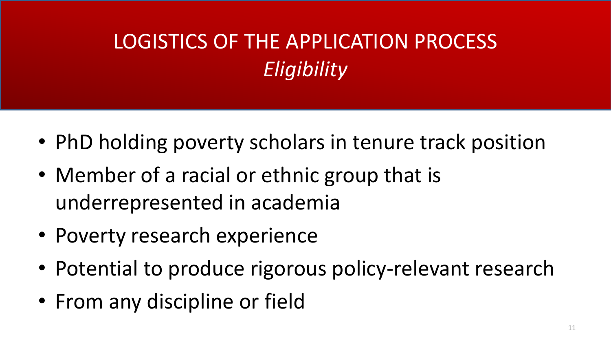## LOGISTICS OF THE APPLICATION PROCESS *Eligibility*

- PhD holding poverty scholars in tenure track position
- Member of a racial or ethnic group that is underrepresented in academia
- Poverty research experience
- Potential to produce rigorous policy-relevant research
- From any discipline or field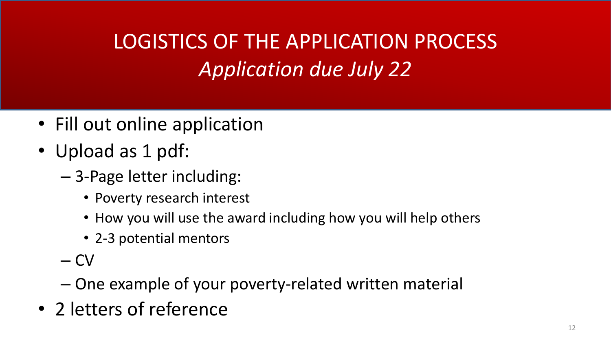## LOGISTICS OF THE APPLICATION PROCESS *Application due July 22*

- Fill out online application
- Upload as 1 pdf:
	- 3-Page letter including:
		- Poverty research interest
		- How you will use the award including how you will help others
		- 2-3 potential mentors
	- CV
	- One example of your poverty-related written material
- 2 letters of reference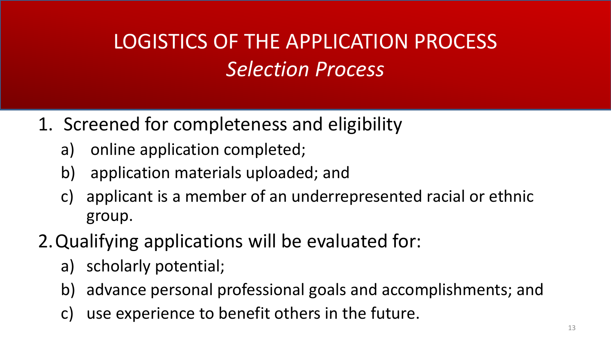## LOGISTICS OF THE APPLICATION PROCESS *Selection Process*

#### 1. Screened for completeness and eligibility

- a) online application completed;
- b) application materials uploaded; and
- c) applicant is a member of an underrepresented racial or ethnic group.
- 2.Qualifying applications will be evaluated for:
	- a) scholarly potential;
	- b) advance personal professional goals and accomplishments; and
	- c) use experience to benefit others in the future.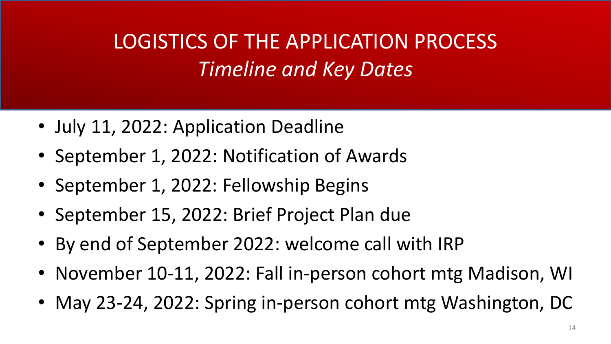## LOGISTICS OF THE APPLICATION PROCESS *Timeline and Key Dates*

- July 11, 2022: Application Deadline
- September 1, 2022: Notification of Awards
- September 1, 2022: Fellowship Begins
- September 15, 2022: Brief Project Plan due
- By end of September 2022: welcome call with IRP
- November 10-11, 2022: Fall in-person cohort mtg Madison, WI
- May 23-24, 2022: Spring in-person cohort mtg Washington, DC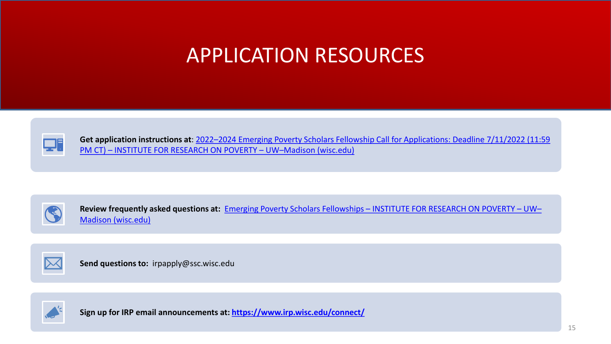#### APPLICATION RESOURCES



**Get application instructions at**[: 2022–2024 Emerging Poverty Scholars Fellowship Call for Applications: Deadline 7/11/2022 \(11:59](https://www.irp.wisc.edu/2022-2024-emerging-poverty-scholars-fellowship-call-for-applications/)  PM CT) – INSTITUTE FOR RESEARCH ON POVERTY – UW–Madison (wisc.edu)



**Review frequently asked questions at:** Emerging Poverty Scholars Fellowships – [INSTITUTE FOR RESEARCH ON POVERTY –](https://www.irp.wisc.edu/training/emerging-poverty-scholars-fellowships/) UW– Madison (wisc.edu)



**Send questions to:** irpapply@ssc.wisc.edu



**Sign up for IRP email announcements at:<https://www.irp.wisc.edu/connect/>**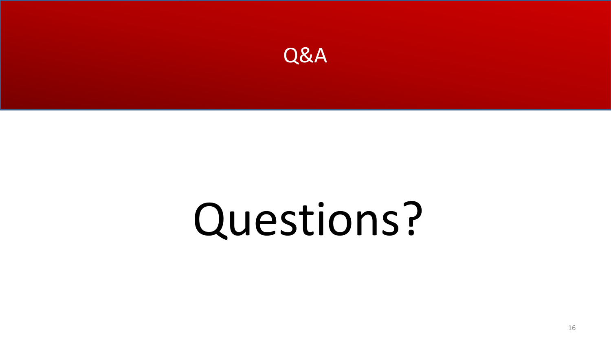

# Questions?